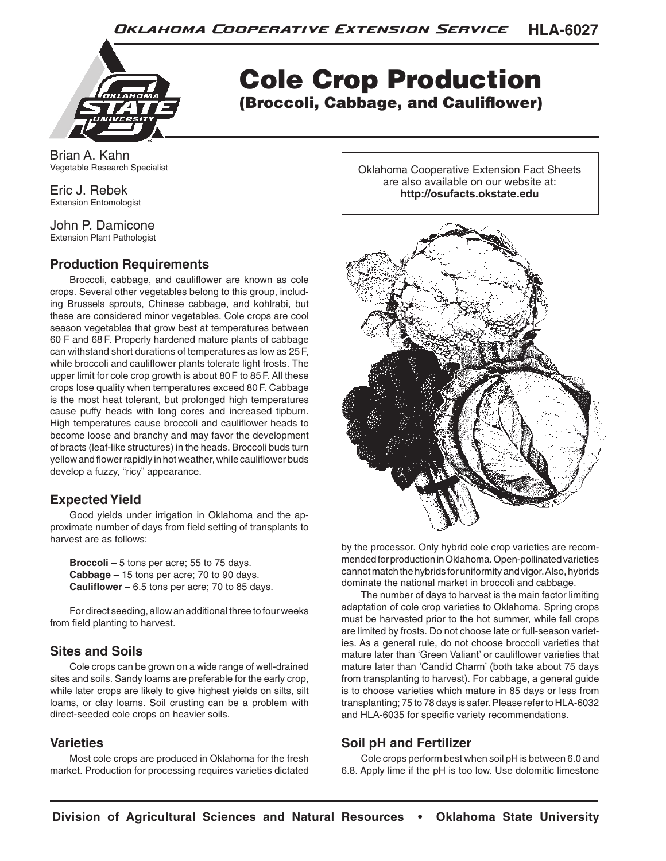

Cole Crop Production (Broccoli, Cabbage, and Cauliflower)

Brian A. Kahn Vegetable Research Specialist

Eric J. Rebek Extension Entomologist

John P. Damicone Extension Plant Pathologist

# **Production Requirements**

Broccoli, cabbage, and cauliflower are known as cole crops. Several other vegetables belong to this group, including Brussels sprouts, Chinese cabbage, and kohlrabi, but these are considered minor vegetables. Cole crops are cool season vegetables that grow best at temperatures between 60 F and 68 F. Properly hardened mature plants of cabbage can withstand short durations of temperatures as low as 25F, while broccoli and cauliflower plants tolerate light frosts. The upper limit for cole crop growth is about 80F to 85F. All these crops lose quality when temperatures exceed 80F. Cabbage is the most heat tolerant, but prolonged high temperatures cause puffy heads with long cores and increased tipburn. High temperatures cause broccoli and cauliflower heads to become loose and branchy and may favor the development of bracts (leaf-like structures) in the heads. Broccoli buds turn yellow and flower rapidly in hot weather, while cauliflower buds develop a fuzzy, "ricy" appearance.

# **Expected Yield**

Good yields under irrigation in Oklahoma and the approximate number of days from field setting of transplants to harvest are as follows:

**Broccoli –** 5 tons per acre; 55 to 75 days. **Cabbage –** 15 tons per acre; 70 to 90 days. **Cauliflower –** 6.5 tons per acre; 70 to 85 days.

For direct seeding, allow an additional three to four weeks from field planting to harvest.

# **Sites and Soils**

Cole crops can be grown on a wide range of well-drained sites and soils. Sandy loams are preferable for the early crop, while later crops are likely to give highest yields on silts, silt loams, or clay loams. Soil crusting can be a problem with direct-seeded cole crops on heavier soils.

## **Varieties**

Most cole crops are produced in Oklahoma for the fresh market. Production for processing requires varieties dictated Oklahoma Cooperative Extension Fact Sheets are also available on our website at: **http://osufacts.okstate.edu**



by the processor. Only hybrid cole crop varieties are recommended for production in Oklahoma. Open-pollinated varieties cannot match the hybrids for uniformity and vigor. Also, hybrids dominate the national market in broccoli and cabbage.

The number of days to harvest is the main factor limiting adaptation of cole crop varieties to Oklahoma. Spring crops must be harvested prior to the hot summer, while fall crops are limited by frosts. Do not choose late or full-season varieties. As a general rule, do not choose broccoli varieties that mature later than 'Green Valiant' or cauliflower varieties that mature later than 'Candid Charm' (both take about 75 days from transplanting to harvest). For cabbage, a general guide is to choose varieties which mature in 85 days or less from transplanting; 75 to 78 days is safer. Please refer to HLA-6032 and HLA-6035 for specific variety recommendations.

# **Soil pH and Fertilizer**

Cole crops perform best when soil pH is between 6.0 and 6.8. Apply lime if the pH is too low. Use dolomitic limestone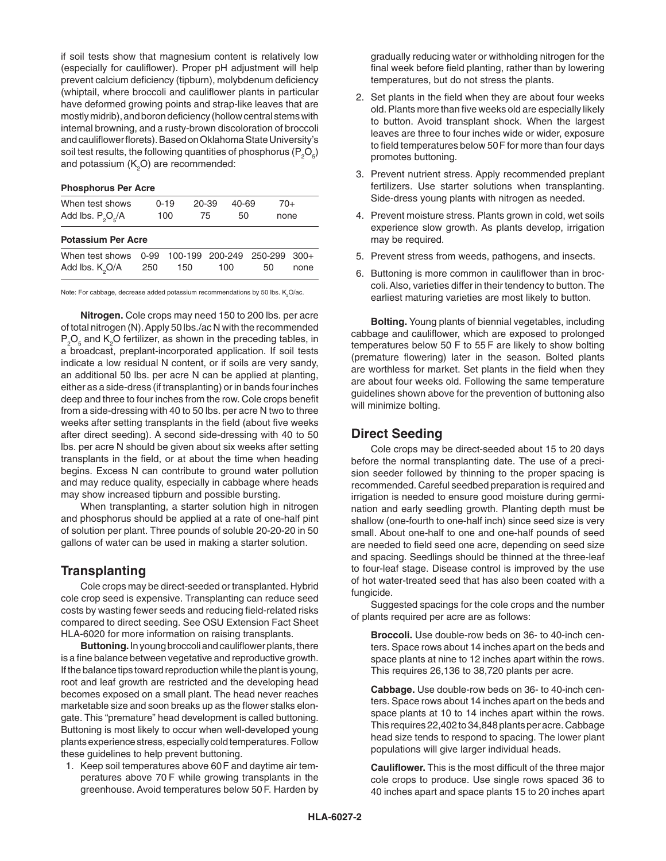if soil tests show that magnesium content is relatively low (especially for cauliflower). Proper pH adjustment will help prevent calcium deficiency (tipburn), molybdenum deficiency (whiptail, where broccoli and cauliflower plants in particular have deformed growing points and strap-like leaves that are mostly midrib), and boron deficiency (hollow central stems with internal browning, and a rusty-brown discoloration of broccoli and cauliflower florets). Based on Oklahoma State University's soil test results, the following quantities of phosphorus ( $\mathsf{P}_2\mathsf{O}_5$ ) and potassium ( $K_{2}$ O) are recommended:

| <b>Phosphorus Per Acre</b> |      |          |  |         |       |         |      |        |
|----------------------------|------|----------|--|---------|-------|---------|------|--------|
| When test shows            |      | $0 - 19$ |  | 20-39   | 40-69 |         | 70+  |        |
| Add lbs. $P_2O_5/A$        |      | 100      |  | 75      | 50    |         | none |        |
| <b>Potassium Per Acre</b>  |      |          |  |         |       |         |      |        |
| When test shows            | 0-99 | 100-199  |  | 200-249 |       | 250-299 |      | $300+$ |
| Add lbs. $K_QO/A$          | 250  | 150      |  | 100     |       | 50      |      | none   |
|                            |      |          |  |         |       |         |      |        |

Note: For cabbage, decrease added potassium recommendations by 50 lbs.  $\mathsf{K}_2\mathsf{O}/\mathsf{ac}.$ 

**Nitrogen.** Cole crops may need 150 to 200 lbs. per acre of total nitrogen (N). Apply 50 lbs./ac N with the recommended  $\mathsf{P}_\mathsf{2}\mathsf{O}_\mathsf{s}$  and  $\mathsf{K}_\mathsf{2}\mathsf{O}$  fertilizer, as shown in the preceding tables, in a broadcast, preplant-incorporated application. If soil tests indicate a low residual N content, or if soils are very sandy, an additional 50 lbs. per acre N can be applied at planting, either as a side-dress (if transplanting) or in bands four inches deep and three to four inches from the row. Cole crops benefit from a side-dressing with 40 to 50 lbs. per acre N two to three weeks after setting transplants in the field (about five weeks after direct seeding). A second side-dressing with 40 to 50 lbs. per acre N should be given about six weeks after setting transplants in the field, or at about the time when heading begins. Excess N can contribute to ground water pollution and may reduce quality, especially in cabbage where heads may show increased tipburn and possible bursting.

When transplanting, a starter solution high in nitrogen and phosphorus should be applied at a rate of one-half pint of solution per plant. Three pounds of soluble 20-20-20 in 50 gallons of water can be used in making a starter solution.

#### **Transplanting**

 Cole crops may be direct-seeded or transplanted. Hybrid cole crop seed is expensive. Transplanting can reduce seed costs by wasting fewer seeds and reducing field-related risks compared to direct seeding. See OSU Extension Fact Sheet HLA-6020 for more information on raising transplants.

 **Buttoning.** In young broccoli and cauliflower plants, there is a fine balance between vegetative and reproductive growth. If the balance tips toward reproduction while the plant is young, root and leaf growth are restricted and the developing head becomes exposed on a small plant. The head never reaches marketable size and soon breaks up as the flower stalks elongate. This "premature" head development is called buttoning. Buttoning is most likely to occur when well-developed young plants experience stress, especially cold temperatures. Follow these guidelines to help prevent buttoning.

1. Keep soil temperatures above 60F and daytime air temperatures above 70 F while growing transplants in the greenhouse. Avoid temperatures below 50F. Harden by gradually reducing water or withholding nitrogen for the final week before field planting, rather than by lowering temperatures, but do not stress the plants.

- 2. Set plants in the field when they are about four weeks old. Plants more than five weeks old are especially likely to button. Avoid transplant shock. When the largest leaves are three to four inches wide or wider, exposure to field temperatures below 50F for more than four days promotes buttoning.
- 3. Prevent nutrient stress. Apply recommended preplant fertilizers. Use starter solutions when transplanting. Side-dress young plants with nitrogen as needed.
- 4. Prevent moisture stress. Plants grown in cold, wet soils experience slow growth. As plants develop, irrigation may be required.
- 5. Prevent stress from weeds, pathogens, and insects.
- 6. Buttoning is more common in cauliflower than in broccoli. Also, varieties differ in their tendency to button. The earliest maturing varieties are most likely to button.

**Bolting.** Young plants of biennial vegetables, including cabbage and cauliflower, which are exposed to prolonged temperatures below 50 F to 55 F are likely to show bolting (premature flowering) later in the season. Bolted plants are worthless for market. Set plants in the field when they are about four weeks old. Following the same temperature guidelines shown above for the prevention of buttoning also will minimize bolting.

#### **Direct Seeding**

Cole crops may be direct-seeded about 15 to 20 days before the normal transplanting date. The use of a precision seeder followed by thinning to the proper spacing is recommended. Careful seedbed preparation is required and irrigation is needed to ensure good moisture during germination and early seedling growth. Planting depth must be shallow (one-fourth to one-half inch) since seed size is very small. About one-half to one and one-half pounds of seed are needed to field seed one acre, depending on seed size and spacing. Seedlings should be thinned at the three-leaf to four-leaf stage. Disease control is improved by the use of hot water-treated seed that has also been coated with a fungicide.

Suggested spacings for the cole crops and the number of plants required per acre are as follows:

**Broccoli.** Use double-row beds on 36- to 40-inch centers. Space rows about 14 inches apart on the beds and space plants at nine to 12 inches apart within the rows. This requires 26,136 to 38,720 plants per acre.

**Cabbage.** Use double-row beds on 36- to 40-inch centers. Space rows about 14 inches apart on the beds and space plants at 10 to 14 inches apart within the rows. This requires 22,402 to 34,848 plants per acre. Cabbage head size tends to respond to spacing. The lower plant populations will give larger individual heads.

**Cauliflower.** This is the most difficult of the three major cole crops to produce. Use single rows spaced 36 to 40 inches apart and space plants 15 to 20 inches apart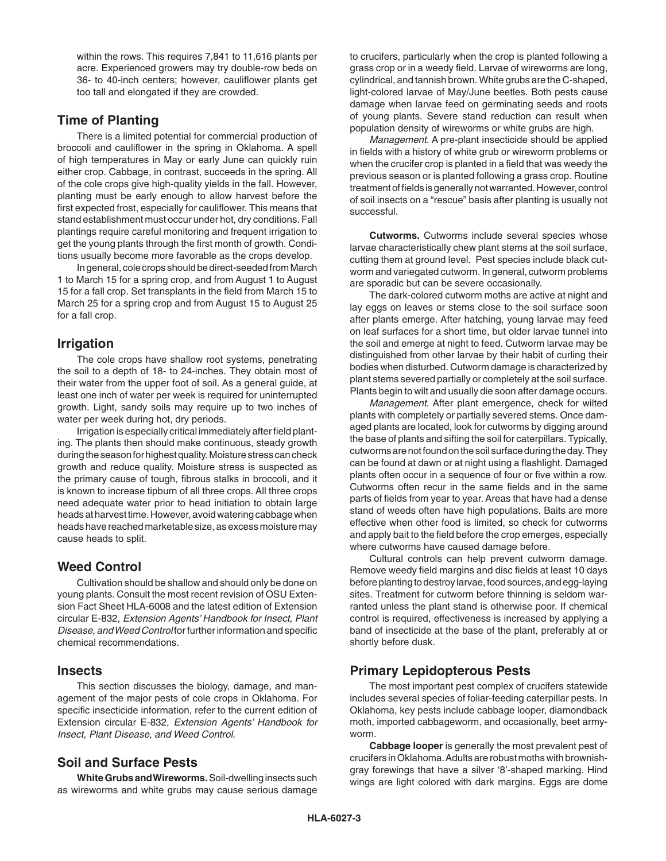within the rows. This requires 7,841 to 11,616 plants per acre. Experienced growers may try double-row beds on 36- to 40-inch centers; however, cauliflower plants get too tall and elongated if they are crowded.

## **Time of Planting**

There is a limited potential for commercial production of broccoli and cauliflower in the spring in Oklahoma. A spell of high temperatures in May or early June can quickly ruin either crop. Cabbage, in contrast, succeeds in the spring. All of the cole crops give high-quality yields in the fall. However, planting must be early enough to allow harvest before the first expected frost, especially for cauliflower. This means that stand establishment must occur under hot, dry conditions. Fall plantings require careful monitoring and frequent irrigation to get the young plants through the first month of growth. Conditions usually become more favorable as the crops develop.

In general, cole crops should be direct-seeded from March 1 to March 15 for a spring crop, and from August 1 to August 15 for a fall crop. Set transplants in the field from March 15 to March 25 for a spring crop and from August 15 to August 25 for a fall crop.

# **Irrigation**

The cole crops have shallow root systems, penetrating the soil to a depth of 18- to 24-inches. They obtain most of their water from the upper foot of soil. As a general guide, at least one inch of water per week is required for uninterrupted growth. Light, sandy soils may require up to two inches of water per week during hot, dry periods.

Irrigation is especially critical immediately after field planting. The plants then should make continuous, steady growth during the season for highest quality. Moisture stress can check growth and reduce quality. Moisture stress is suspected as the primary cause of tough, fibrous stalks in broccoli, and it is known to increase tipburn of all three crops. All three crops need adequate water prior to head initiation to obtain large heads at harvest time. However, avoid watering cabbage when heads have reached marketable size, as excess moisture may cause heads to split.

# **Weed Control**

Cultivation should be shallow and should only be done on young plants. Consult the most recent revision of OSU Extension Fact Sheet HLA-6008 and the latest edition of Extension circular E-832, *Extension Agents' Handbook for Insect, Plant Disease, and Weed Control* for further information and specific chemical recommendations.

## **Insects**

This section discusses the biology, damage, and management of the major pests of cole crops in Oklahoma. For specific insecticide information, refer to the current edition of Extension circular E-832, *Extension Agents' Handbook for Insect, Plant Disease, and Weed Control*.

# **Soil and Surface Pests**

**White Grubs and Wireworms.** Soil-dwelling insects such as wireworms and white grubs may cause serious damage to crucifers, particularly when the crop is planted following a grass crop or in a weedy field. Larvae of wireworms are long, cylindrical, and tannish brown. White grubs are the C-shaped, light-colored larvae of May/June beetles. Both pests cause damage when larvae feed on germinating seeds and roots of young plants. Severe stand reduction can result when population density of wireworms or white grubs are high.

*Management*. A pre-plant insecticide should be applied in fields with a history of white grub or wireworm problems or when the crucifer crop is planted in a field that was weedy the previous season or is planted following a grass crop. Routine treatment of fields is generally not warranted. However, control of soil insects on a "rescue" basis after planting is usually not successful.

**Cutworms.** Cutworms include several species whose larvae characteristically chew plant stems at the soil surface, cutting them at ground level. Pest species include black cutworm and variegated cutworm. In general, cutworm problems are sporadic but can be severe occasionally.

The dark-colored cutworm moths are active at night and lay eggs on leaves or stems close to the soil surface soon after plants emerge. After hatching, young larvae may feed on leaf surfaces for a short time, but older larvae tunnel into the soil and emerge at night to feed. Cutworm larvae may be distinguished from other larvae by their habit of curling their bodies when disturbed. Cutworm damage is characterized by plant stems severed partially or completely at the soil surface. Plants begin to wilt and usually die soon after damage occurs.

*Management*. After plant emergence, check for wilted plants with completely or partially severed stems. Once damaged plants are located, look for cutworms by digging around the base of plants and sifting the soil for caterpillars. Typically, cutworms are not found on the soil surface during the day. They can be found at dawn or at night using a flashlight. Damaged plants often occur in a sequence of four or five within a row. Cutworms often recur in the same fields and in the same parts of fields from year to year. Areas that have had a dense stand of weeds often have high populations. Baits are more effective when other food is limited, so check for cutworms and apply bait to the field before the crop emerges, especially where cutworms have caused damage before.

Cultural controls can help prevent cutworm damage. Remove weedy field margins and disc fields at least 10 days before planting to destroy larvae, food sources, and egg-laying sites. Treatment for cutworm before thinning is seldom warranted unless the plant stand is otherwise poor. If chemical control is required, effectiveness is increased by applying a band of insecticide at the base of the plant, preferably at or shortly before dusk.

# **Primary Lepidopterous Pests**

The most important pest complex of crucifers statewide includes several species of foliar-feeding caterpillar pests. In Oklahoma, key pests include cabbage looper, diamondback moth, imported cabbageworm, and occasionally, beet armyworm.

**Cabbage looper** is generally the most prevalent pest of crucifers in Oklahoma. Adults are robust moths with brownishgray forewings that have a silver '8'-shaped marking. Hind wings are light colored with dark margins. Eggs are dome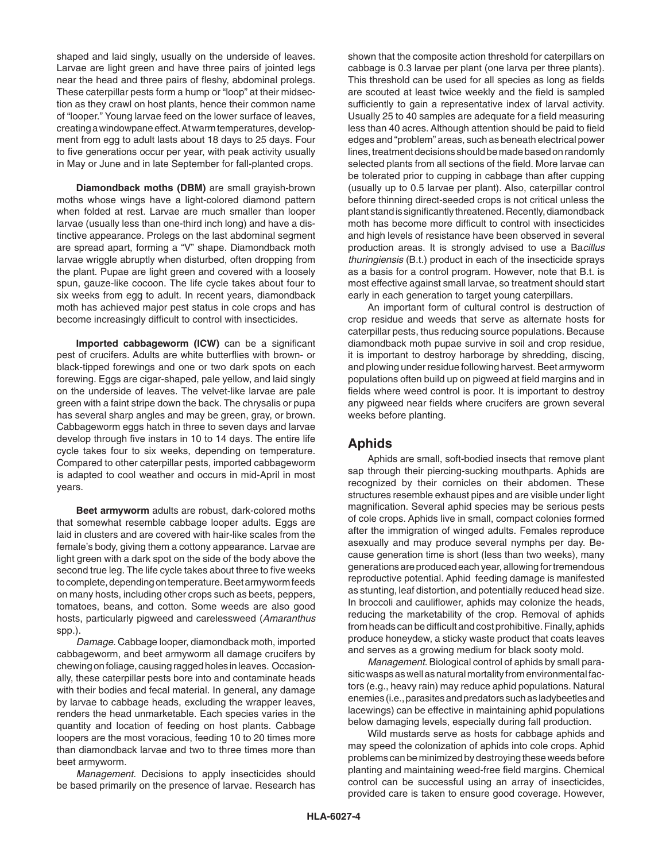shaped and laid singly, usually on the underside of leaves. Larvae are light green and have three pairs of jointed legs near the head and three pairs of fleshy, abdominal prolegs. These caterpillar pests form a hump or "loop" at their midsection as they crawl on host plants, hence their common name of "looper." Young larvae feed on the lower surface of leaves, creating a windowpane effect. At warm temperatures, development from egg to adult lasts about 18 days to 25 days. Four to five generations occur per year, with peak activity usually in May or June and in late September for fall-planted crops.

**Diamondback moths (DBM)** are small grayish-brown moths whose wings have a light-colored diamond pattern when folded at rest. Larvae are much smaller than looper larvae (usually less than one-third inch long) and have a distinctive appearance. Prolegs on the last abdominal segment are spread apart, forming a "V" shape. Diamondback moth larvae wriggle abruptly when disturbed, often dropping from the plant. Pupae are light green and covered with a loosely spun, gauze-like cocoon. The life cycle takes about four to six weeks from egg to adult. In recent years, diamondback moth has achieved major pest status in cole crops and has become increasingly difficult to control with insecticides.

**Imported cabbageworm (ICW)** can be a significant pest of crucifers. Adults are white butterflies with brown- or black-tipped forewings and one or two dark spots on each forewing. Eggs are cigar-shaped, pale yellow, and laid singly on the underside of leaves. The velvet-like larvae are pale green with a faint stripe down the back. The chrysalis or pupa has several sharp angles and may be green, gray, or brown. Cabbageworm eggs hatch in three to seven days and larvae develop through five instars in 10 to 14 days. The entire life cycle takes four to six weeks, depending on temperature. Compared to other caterpillar pests, imported cabbageworm is adapted to cool weather and occurs in mid-April in most years.

**Beet armyworm** adults are robust, dark-colored moths that somewhat resemble cabbage looper adults. Eggs are laid in clusters and are covered with hair-like scales from the female's body, giving them a cottony appearance. Larvae are light green with a dark spot on the side of the body above the second true leg. The life cycle takes about three to five weeks to complete, depending on temperature. Beet armyworm feeds on many hosts, including other crops such as beets, peppers, tomatoes, beans, and cotton. Some weeds are also good hosts, particularly pigweed and carelessweed (*Amaranthus* spp.).

*Damage.* Cabbage looper, diamondback moth, imported cabbageworm, and beet armyworm all damage crucifers by chewing on foliage, causing ragged holes in leaves. Occasionally, these caterpillar pests bore into and contaminate heads with their bodies and fecal material. In general, any damage by larvae to cabbage heads, excluding the wrapper leaves, renders the head unmarketable. Each species varies in the quantity and location of feeding on host plants. Cabbage loopers are the most voracious, feeding 10 to 20 times more than diamondback larvae and two to three times more than beet armyworm.

*Management.* Decisions to apply insecticides should be based primarily on the presence of larvae. Research has

shown that the composite action threshold for caterpillars on cabbage is 0.3 larvae per plant (one larva per three plants). This threshold can be used for all species as long as fields are scouted at least twice weekly and the field is sampled sufficiently to gain a representative index of larval activity. Usually 25 to 40 samples are adequate for a field measuring less than 40 acres. Although attention should be paid to field edges and "problem" areas, such as beneath electrical power lines, treatment decisions should be made based on randomly selected plants from all sections of the field. More larvae can be tolerated prior to cupping in cabbage than after cupping (usually up to 0.5 larvae per plant). Also, caterpillar control before thinning direct-seeded crops is not critical unless the plant stand is significantly threatened. Recently, diamondback moth has become more difficult to control with insecticides and high levels of resistance have been observed in several production areas. It is strongly advised to use a Ba*cillus thuringiensis* (B.t.) product in each of the insecticide sprays as a basis for a control program. However, note that B.t. is most effective against small larvae, so treatment should start early in each generation to target young caterpillars.

An important form of cultural control is destruction of crop residue and weeds that serve as alternate hosts for caterpillar pests, thus reducing source populations. Because diamondback moth pupae survive in soil and crop residue, it is important to destroy harborage by shredding, discing, and plowing under residue following harvest. Beet armyworm populations often build up on pigweed at field margins and in fields where weed control is poor. It is important to destroy any pigweed near fields where crucifers are grown several weeks before planting.

#### **Aphids**

Aphids are small, soft-bodied insects that remove plant sap through their piercing-sucking mouthparts. Aphids are recognized by their cornicles on their abdomen. These structures resemble exhaust pipes and are visible under light magnification. Several aphid species may be serious pests of cole crops. Aphids live in small, compact colonies formed after the immigration of winged adults. Females reproduce asexually and may produce several nymphs per day. Because generation time is short (less than two weeks), many generations are produced each year, allowing for tremendous reproductive potential. Aphid feeding damage is manifested as stunting, leaf distortion, and potentially reduced head size. In broccoli and cauliflower, aphids may colonize the heads, reducing the marketability of the crop. Removal of aphids from heads can be difficult and cost prohibitive. Finally, aphids produce honeydew, a sticky waste product that coats leaves and serves as a growing medium for black sooty mold.

*Management*. Biological control of aphids by small parasitic wasps as well as natural mortality from environmental factors (e.g., heavy rain) may reduce aphid populations. Natural enemies (i.e., parasites and predators such as ladybeetles and lacewings) can be effective in maintaining aphid populations below damaging levels, especially during fall production.

Wild mustards serve as hosts for cabbage aphids and may speed the colonization of aphids into cole crops. Aphid problems can be minimized by destroying these weeds before planting and maintaining weed-free field margins. Chemical control can be successful using an array of insecticides, provided care is taken to ensure good coverage. However,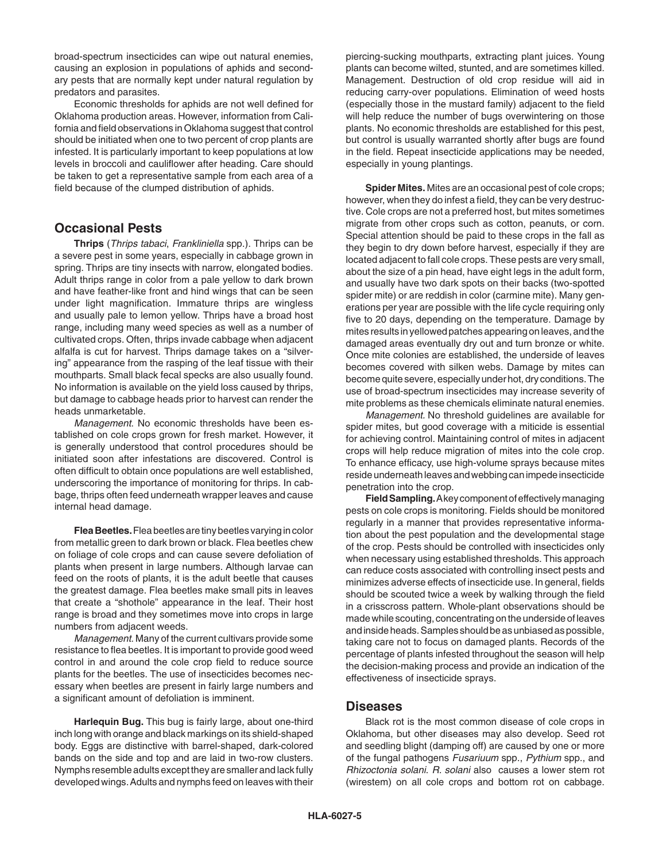broad-spectrum insecticides can wipe out natural enemies, causing an explosion in populations of aphids and secondary pests that are normally kept under natural regulation by predators and parasites.

Economic thresholds for aphids are not well defined for Oklahoma production areas. However, information from California and field observations in Oklahoma suggest that control should be initiated when one to two percent of crop plants are infested. It is particularly important to keep populations at low levels in broccoli and cauliflower after heading. Care should be taken to get a representative sample from each area of a field because of the clumped distribution of aphids.

## **Occasional Pests**

**Thrips** (*Thrips tabaci*, *Frankliniella* spp.). Thrips can be a severe pest in some years, especially in cabbage grown in spring. Thrips are tiny insects with narrow, elongated bodies. Adult thrips range in color from a pale yellow to dark brown and have feather-like front and hind wings that can be seen under light magnification. Immature thrips are wingless and usually pale to lemon yellow. Thrips have a broad host range, including many weed species as well as a number of cultivated crops. Often, thrips invade cabbage when adjacent alfalfa is cut for harvest. Thrips damage takes on a "silvering" appearance from the rasping of the leaf tissue with their mouthparts. Small black fecal specks are also usually found. No information is available on the yield loss caused by thrips, but damage to cabbage heads prior to harvest can render the heads unmarketable.

*Management*. No economic thresholds have been established on cole crops grown for fresh market. However, it is generally understood that control procedures should be initiated soon after infestations are discovered. Control is often difficult to obtain once populations are well established, underscoring the importance of monitoring for thrips. In cabbage, thrips often feed underneath wrapper leaves and cause internal head damage.

**Flea Beetles.** Flea beetles are tiny beetles varying in color from metallic green to dark brown or black. Flea beetles chew on foliage of cole crops and can cause severe defoliation of plants when present in large numbers. Although larvae can feed on the roots of plants, it is the adult beetle that causes the greatest damage. Flea beetles make small pits in leaves that create a "shothole" appearance in the leaf. Their host range is broad and they sometimes move into crops in large numbers from adjacent weeds.

*Management*. Many of the current cultivars provide some resistance to flea beetles. It is important to provide good weed control in and around the cole crop field to reduce source plants for the beetles. The use of insecticides becomes necessary when beetles are present in fairly large numbers and a significant amount of defoliation is imminent.

**Harlequin Bug.** This bug is fairly large, about one-third inch long with orange and black markings on its shield-shaped body. Eggs are distinctive with barrel-shaped, dark-colored bands on the side and top and are laid in two-row clusters. Nymphs resemble adults except they are smaller and lack fully developed wings. Adults and nymphs feed on leaves with their piercing-sucking mouthparts, extracting plant juices. Young plants can become wilted, stunted, and are sometimes killed. Management. Destruction of old crop residue will aid in reducing carry-over populations. Elimination of weed hosts (especially those in the mustard family) adjacent to the field will help reduce the number of bugs overwintering on those plants. No economic thresholds are established for this pest, but control is usually warranted shortly after bugs are found in the field. Repeat insecticide applications may be needed, especially in young plantings.

**Spider Mites.** Mites are an occasional pest of cole crops; however, when they do infest a field, they can be very destructive. Cole crops are not a preferred host, but mites sometimes migrate from other crops such as cotton, peanuts, or corn. Special attention should be paid to these crops in the fall as they begin to dry down before harvest, especially if they are located adjacent to fall cole crops. These pests are very small, about the size of a pin head, have eight legs in the adult form, and usually have two dark spots on their backs (two-spotted spider mite) or are reddish in color (carmine mite). Many generations per year are possible with the life cycle requiring only five to 20 days, depending on the temperature. Damage by mites results in yellowed patches appearing on leaves, and the damaged areas eventually dry out and turn bronze or white. Once mite colonies are established, the underside of leaves becomes covered with silken webs. Damage by mites can become quite severe, especially under hot, dry conditions. The use of broad-spectrum insecticides may increase severity of mite problems as these chemicals eliminate natural enemies.

*Management.* No threshold guidelines are available for spider mites, but good coverage with a miticide is essential for achieving control. Maintaining control of mites in adjacent crops will help reduce migration of mites into the cole crop. To enhance efficacy, use high-volume sprays because mites reside underneath leaves and webbing can impede insecticide penetration into the crop.

**Field Sampling.** A key component of effectively managing pests on cole crops is monitoring. Fields should be monitored regularly in a manner that provides representative information about the pest population and the developmental stage of the crop. Pests should be controlled with insecticides only when necessary using established thresholds. This approach can reduce costs associated with controlling insect pests and minimizes adverse effects of insecticide use. In general, fields should be scouted twice a week by walking through the field in a crisscross pattern. Whole-plant observations should be made while scouting, concentrating on the underside of leaves and inside heads. Samples should be as unbiased as possible, taking care not to focus on damaged plants. Records of the percentage of plants infested throughout the season will help the decision-making process and provide an indication of the effectiveness of insecticide sprays.

#### **Diseases**

Black rot is the most common disease of cole crops in Oklahoma, but other diseases may also develop. Seed rot and seedling blight (damping off) are caused by one or more of the fungal pathogens *Fusariuum* spp., *Pythium* spp., and *Rhizoctonia solani*. *R. solani* also causes a lower stem rot (wirestem) on all cole crops and bottom rot on cabbage.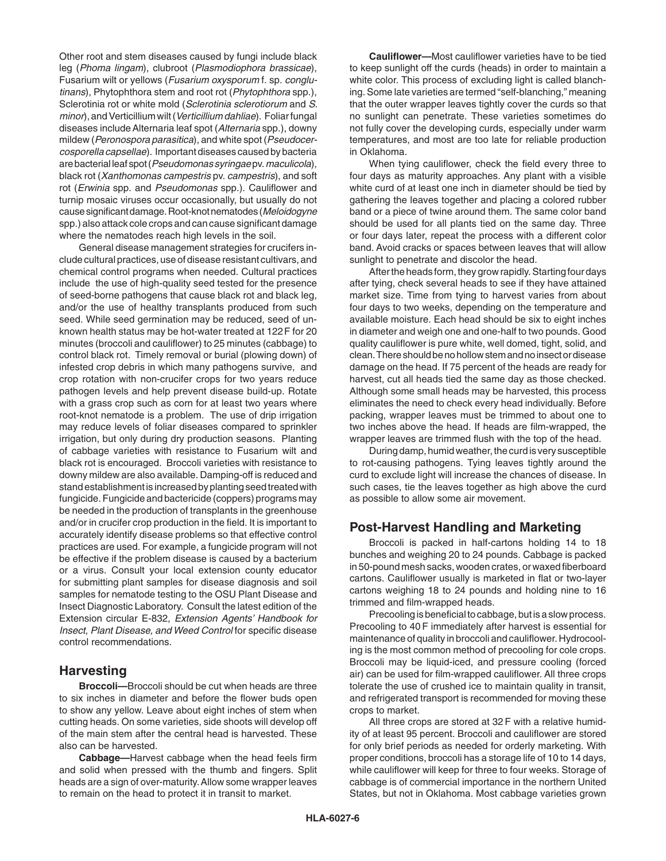Other root and stem diseases caused by fungi include black leg (*Phoma lingam*), clubroot (*Plasmodiophora brassicae*), Fusarium wilt or yellows (*Fusarium oxysporum* f. sp. *conglutinans*), Phytophthora stem and root rot (*Phytophthora* spp.), Sclerotinia rot or white mold (*Sclerotinia sclerotiorum* and *S. minor*), and Verticillium wilt (*Verticillium dahliae*). Foliar fungal diseases include Alternaria leaf spot (*Alternaria* spp.), downy mildew (*Peronospora parasitica*), and white spot (*Pseudocercosporella capsellae*). Important diseases caused by bacteria are bacterial leaf spot (*Pseudomonas syringae* pv. *maculicola*), black rot (*Xanthomonas campestris* pv. *campestris*), and soft rot (*Erwinia* spp. and *Pseudomonas* spp.). Cauliflower and turnip mosaic viruses occur occasionally, but usually do not cause significant damage. Root-knot nematodes (*Meloidogyne* spp.) also attack cole crops and can cause significant damage where the nematodes reach high levels in the soil.

General disease management strategies for crucifers include cultural practices, use of disease resistant cultivars, and chemical control programs when needed. Cultural practices include the use of high-quality seed tested for the presence of seed-borne pathogens that cause black rot and black leg, and/or the use of healthy transplants produced from such seed. While seed germination may be reduced, seed of unknown health status may be hot-water treated at 122F for 20 minutes (broccoli and cauliflower) to 25 minutes (cabbage) to control black rot. Timely removal or burial (plowing down) of infested crop debris in which many pathogens survive, and crop rotation with non-crucifer crops for two years reduce pathogen levels and help prevent disease build-up. Rotate with a grass crop such as corn for at least two years where root-knot nematode is a problem. The use of drip irrigation may reduce levels of foliar diseases compared to sprinkler irrigation, but only during dry production seasons. Planting of cabbage varieties with resistance to Fusarium wilt and black rot is encouraged. Broccoli varieties with resistance to downy mildew are also available. Damping-off is reduced and stand establishment is increased by planting seed treated with fungicide. Fungicide and bactericide (coppers) programs may be needed in the production of transplants in the greenhouse and/or in crucifer crop production in the field. It is important to accurately identify disease problems so that effective control practices are used. For example, a fungicide program will not be effective if the problem disease is caused by a bacterium or a virus. Consult your local extension county educator for submitting plant samples for disease diagnosis and soil samples for nematode testing to the OSU Plant Disease and Insect Diagnostic Laboratory. Consult the latest edition of the Extension circular E-832, *Extension Agents' Handbook for Insect, Plant Disease, and Weed Control* for specific disease control recommendations.

#### **Harvesting**

**Broccoli—**Broccoli should be cut when heads are three to six inches in diameter and before the flower buds open to show any yellow. Leave about eight inches of stem when cutting heads. On some varieties, side shoots will develop off of the main stem after the central head is harvested. These also can be harvested.

**Cabbage—**Harvest cabbage when the head feels firm and solid when pressed with the thumb and fingers. Split heads are a sign of over-maturity. Allow some wrapper leaves to remain on the head to protect it in transit to market.

**Cauliflower—**Most cauliflower varieties have to be tied to keep sunlight off the curds (heads) in order to maintain a white color. This process of excluding light is called blanching. Some late varieties are termed "self-blanching," meaning that the outer wrapper leaves tightly cover the curds so that no sunlight can penetrate. These varieties sometimes do not fully cover the developing curds, especially under warm temperatures, and most are too late for reliable production in Oklahoma.

When tying cauliflower, check the field every three to four days as maturity approaches. Any plant with a visible white curd of at least one inch in diameter should be tied by gathering the leaves together and placing a colored rubber band or a piece of twine around them. The same color band should be used for all plants tied on the same day. Three or four days later, repeat the process with a different color band. Avoid cracks or spaces between leaves that will allow sunlight to penetrate and discolor the head.

After the heads form, they grow rapidly. Starting four days after tying, check several heads to see if they have attained market size. Time from tying to harvest varies from about four days to two weeks, depending on the temperature and available moisture. Each head should be six to eight inches in diameter and weigh one and one-half to two pounds. Good quality cauliflower is pure white, well domed, tight, solid, and clean. There should be no hollow stem and no insect or disease damage on the head. If 75 percent of the heads are ready for harvest, cut all heads tied the same day as those checked. Although some small heads may be harvested, this process eliminates the need to check every head individually. Before packing, wrapper leaves must be trimmed to about one to two inches above the head. If heads are film-wrapped, the wrapper leaves are trimmed flush with the top of the head.

During damp, humid weather, the curd is very susceptible to rot-causing pathogens. Tying leaves tightly around the curd to exclude light will increase the chances of disease. In such cases, tie the leaves together as high above the curd as possible to allow some air movement.

## **Post-Harvest Handling and Marketing**

Broccoli is packed in half-cartons holding 14 to 18 bunches and weighing 20 to 24 pounds. Cabbage is packed in 50-pound mesh sacks, wooden crates, or waxed fiberboard cartons. Cauliflower usually is marketed in flat or two-layer cartons weighing 18 to 24 pounds and holding nine to 16 trimmed and film-wrapped heads.

Precooling is beneficial to cabbage, but is a slow process. Precooling to 40 F immediately after harvest is essential for maintenance of quality in broccoli and cauliflower. Hydrocooling is the most common method of precooling for cole crops. Broccoli may be liquid-iced, and pressure cooling (forced air) can be used for film-wrapped cauliflower. All three crops tolerate the use of crushed ice to maintain quality in transit, and refrigerated transport is recommended for moving these crops to market.

All three crops are stored at 32 F with a relative humidity of at least 95 percent. Broccoli and cauliflower are stored for only brief periods as needed for orderly marketing. With proper conditions, broccoli has a storage life of 10 to 14 days, while cauliflower will keep for three to four weeks. Storage of cabbage is of commercial importance in the northern United States, but not in Oklahoma. Most cabbage varieties grown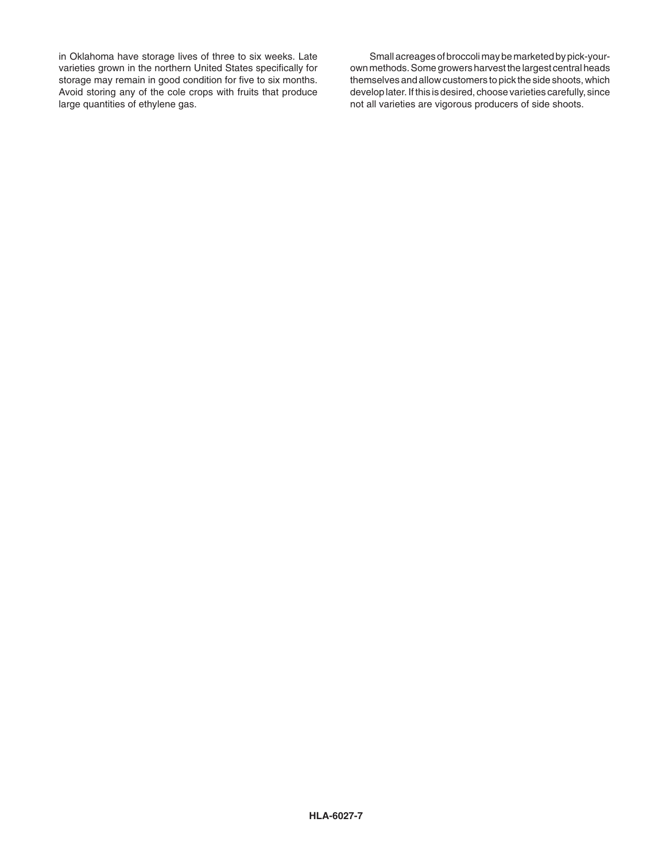in Oklahoma have storage lives of three to six weeks. Late varieties grown in the northern United States specifically for storage may remain in good condition for five to six months. Avoid storing any of the cole crops with fruits that produce large quantities of ethylene gas.

Small acreages of broccoli may be marketed by pick-yourown methods. Some growers harvest the largest central heads themselves and allow customers to pick the side shoots, which develop later. If this is desired, choose varieties carefully, since not all varieties are vigorous producers of side shoots.